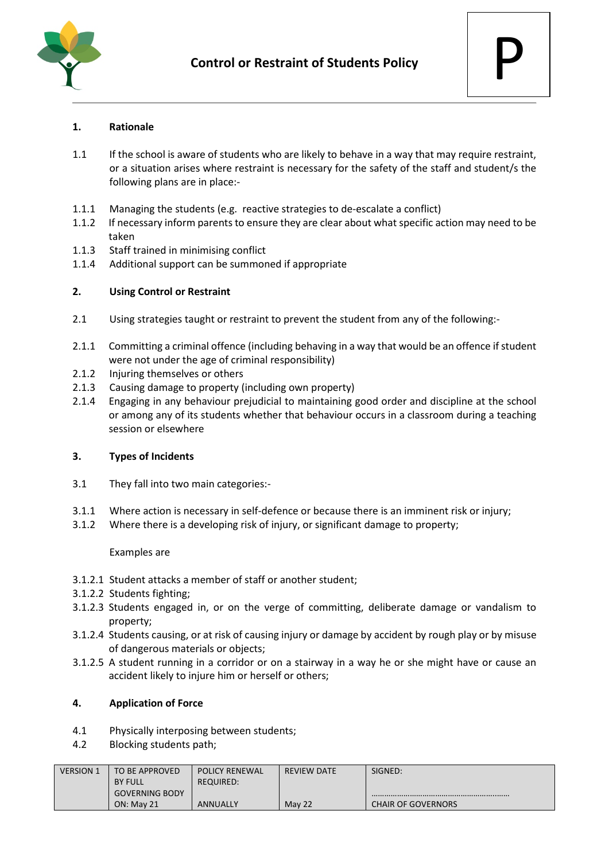



## **1. Rationale**

- 1.1 If the school is aware of students who are likely to behave in a way that may require restraint, or a situation arises where restraint is necessary for the safety of the staff and student/s the following plans are in place:-
- 1.1.1 Managing the students (e.g. reactive strategies to de-escalate a conflict)
- 1.1.2 If necessary inform parents to ensure they are clear about what specific action may need to be taken
- 1.1.3 Staff trained in minimising conflict
- 1.1.4 Additional support can be summoned if appropriate

## **2. Using Control or Restraint**

- 2.1 Using strategies taught or restraint to prevent the student from any of the following:-
- 2.1.1 Committing a criminal offence (including behaving in a way that would be an offence if student were not under the age of criminal responsibility)
- 2.1.2 Injuring themselves or others
- 2.1.3 Causing damage to property (including own property)
- 2.1.4 Engaging in any behaviour prejudicial to maintaining good order and discipline at the school or among any of its students whether that behaviour occurs in a classroom during a teaching session or elsewhere

#### **3. Types of Incidents**

- 3.1 They fall into two main categories:-
- 3.1.1 Where action is necessary in self-defence or because there is an imminent risk or injury;
- 3.1.2 Where there is a developing risk of injury, or significant damage to property;

#### Examples are

- 3.1.2.1 Student attacks a member of staff or another student;
- 3.1.2.2 Students fighting;
- 3.1.2.3 Students engaged in, or on the verge of committing, deliberate damage or vandalism to property;
- 3.1.2.4 Students causing, or at risk of causing injury or damage by accident by rough play or by misuse of dangerous materials or objects;
- 3.1.2.5 A student running in a corridor or on a stairway in a way he or she might have or cause an accident likely to injure him or herself or others;

#### **4. Application of Force**

- 4.1 Physically interposing between students;
- 4.2 Blocking students path;

| <b>VERSION 1</b> | TO BE APPROVED        | <b>POLICY RENEWAL</b> | <b>REVIEW DATE</b> | SIGNED:                   |
|------------------|-----------------------|-----------------------|--------------------|---------------------------|
|                  | <b>BY FULL</b>        | REQUIRED:             |                    |                           |
|                  | <b>GOVERNING BODY</b> |                       |                    |                           |
|                  | <b>ON: May 21</b>     | <b>ANNUALLY</b>       | May 22             | <b>CHAIR OF GOVERNORS</b> |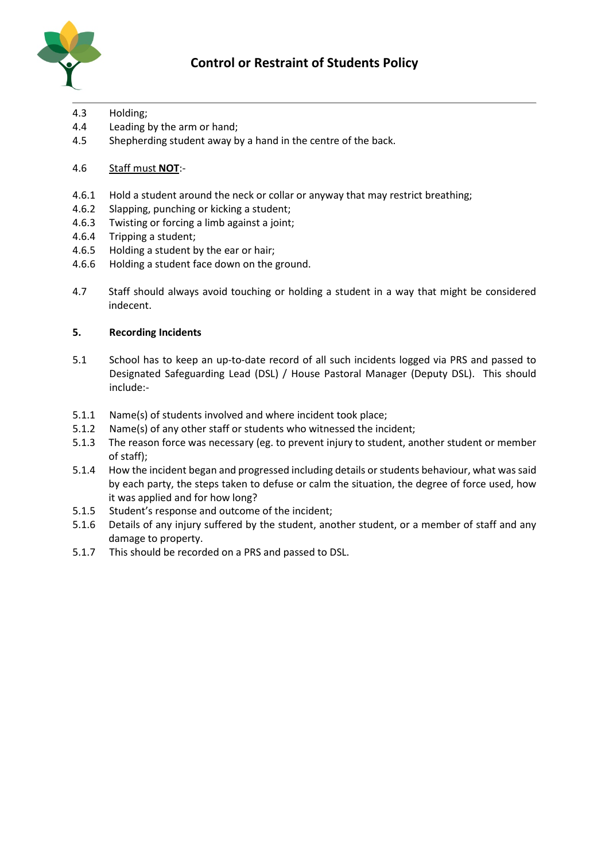

- 4.3 Holding;
- 4.4 Leading by the arm or hand;
- 4.5 Shepherding student away by a hand in the centre of the back.
- 4.6 Staff must **NOT**:-
- 4.6.1 Hold a student around the neck or collar or anyway that may restrict breathing;
- 4.6.2 Slapping, punching or kicking a student;
- 4.6.3 Twisting or forcing a limb against a joint;
- 4.6.4 Tripping a student;
- 4.6.5 Holding a student by the ear or hair;
- 4.6.6 Holding a student face down on the ground.
- 4.7 Staff should always avoid touching or holding a student in a way that might be considered indecent.

## **5. Recording Incidents**

- 5.1 School has to keep an up-to-date record of all such incidents logged via PRS and passed to Designated Safeguarding Lead (DSL) / House Pastoral Manager (Deputy DSL). This should include:-
- 5.1.1 Name(s) of students involved and where incident took place;
- 5.1.2 Name(s) of any other staff or students who witnessed the incident;
- 5.1.3 The reason force was necessary (eg. to prevent injury to student, another student or member of staff);
- 5.1.4 How the incident began and progressed including details or students behaviour, what was said by each party, the steps taken to defuse or calm the situation, the degree of force used, how it was applied and for how long?
- 5.1.5 Student's response and outcome of the incident;
- 5.1.6 Details of any injury suffered by the student, another student, or a member of staff and any damage to property.
- 5.1.7 This should be recorded on a PRS and passed to DSL.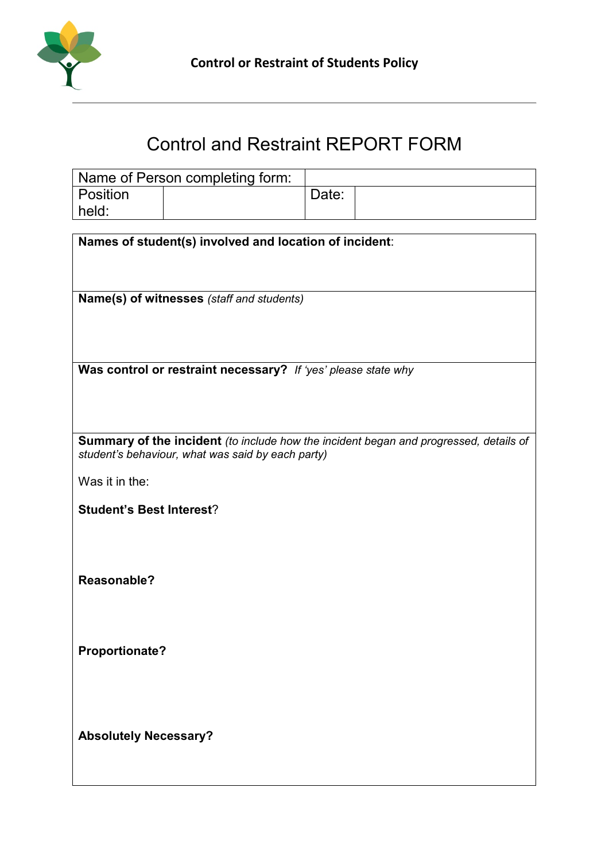

# Control and Restraint REPORT FORM

|          | Name of Person completing form: |       |  |
|----------|---------------------------------|-------|--|
| Position |                                 | Date: |  |
| held:    |                                 |       |  |

| Names of student(s) involved and location of incident:                                |
|---------------------------------------------------------------------------------------|
|                                                                                       |
|                                                                                       |
|                                                                                       |
| Name(s) of witnesses (staff and students)                                             |
|                                                                                       |
|                                                                                       |
|                                                                                       |
|                                                                                       |
| Was control or restraint necessary? If 'yes' please state why                         |
|                                                                                       |
|                                                                                       |
|                                                                                       |
| Summary of the incident (to include how the incident began and progressed, details of |
| student's behaviour, what was said by each party)                                     |
|                                                                                       |
| Was it in the:                                                                        |
|                                                                                       |
| <b>Student's Best Interest?</b>                                                       |
|                                                                                       |
|                                                                                       |
|                                                                                       |
|                                                                                       |
| Reasonable?                                                                           |
|                                                                                       |
|                                                                                       |
|                                                                                       |
|                                                                                       |
| Proportionate?                                                                        |
|                                                                                       |
|                                                                                       |
|                                                                                       |
|                                                                                       |
| <b>Absolutely Necessary?</b>                                                          |
|                                                                                       |
|                                                                                       |